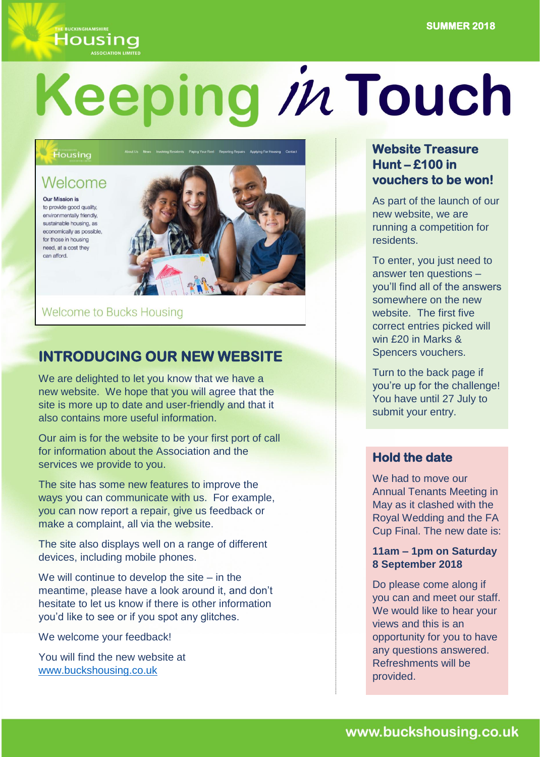# **Housing**

# Keeping in Touch

#### Housing

## Welcome

**Our Mission is** to provide good quality, environmentally friendly, sustainable housing, as economically as possible. for those in housing need, at a cost they can afford.



Welcome to Bucks Housing

# **INTRODUCING OUR NEW WEBSITE**

We are delighted to let you know that we have a new website. We hope that you will agree that the site is more up to date and user-friendly and that it also contains more useful information.

Our aim is for the website to be your first port of call for information about the Association and the services we provide to you.

The site has some new features to improve the ways you can communicate with us. For example, you can now report a repair, give us feedback or make a complaint, all via the website.

The site also displays well on a range of different devices, including mobile phones.

We will continue to develop the site – in the meantime, please have a look around it, and don't hesitate to let us know if there is other information you'd like to see or if you spot any glitches.

We welcome your feedback!

You will find the new website at [www.buckshousing.co.uk](http://www.buckshousing.co.uk/)

#### **Website Treasure Hunt – £100 in vouchers to be won!**

As part of the launch of our new website, we are running a competition for residents.

To enter, you just need to answer ten questions – you'll find all of the answers somewhere on the new website. The first five correct entries picked will win £20 in Marks & Spencers vouchers.

Turn to the back page if you're up for the challenge! You have until 27 July to submit your entry.

#### **Hold the date**

We had to move our Annual Tenants Meeting in May as it clashed with the Royal Wedding and the FA Cup Final. The new date is:

#### **11am – 1pm on Saturday 8 September 2018**

Do please come along if you can and meet our staff. We would like to hear your views and this is an opportunity for you to have any questions answered. Refreshments will be provided.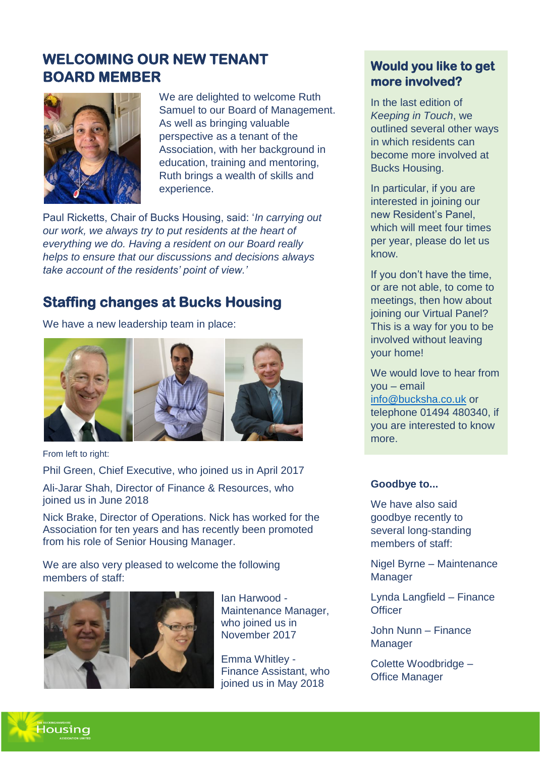# **WELCOMING OUR NEW TENANT BOARD MEMBER**



We are delighted to welcome Ruth Samuel to our Board of Management. As well as bringing valuable perspective as a tenant of the Association, with her background in education, training and mentoring, Ruth brings a wealth of skills and experience.

Paul Ricketts, Chair of Bucks Housing, said: '*In carrying out our work, we always try to put residents at the heart of everything we do. Having a resident on our Board really helps to ensure that our discussions and decisions always take account of the residents' point of view.'*

# **Staffing changes at Bucks Housing**

We have a new leadership team in place:



From left to right:

Phil Green, Chief Executive, who joined us in April 2017

Ali-Jarar Shah, Director of Finance & Resources, who joined us in June 2018

Nick Brake, Director of Operations. Nick has worked for the Association for ten years and has recently been promoted from his role of Senior Housing Manager.

We are also very pleased to welcome the following members of staff:



Ian Harwood - Maintenance Manager, who joined us in November 2017

Emma Whitley - Finance Assistant, who joined us in May 2018

### **Would you like to get more involved?**

In the last edition of *Keeping in Touch*, we outlined several other ways in which residents can become more involved at Bucks Housing.

In particular, if you are interested in joining our new Resident's Panel, which will meet four times per year, please do let us know.

If you don't have the time, or are not able, to come to meetings, then how about joining our Virtual Panel? This is a way for you to be involved without leaving your home!

We would love to hear from you – email [info@bucksha.co.uk](mailto:info@bucksha.co.uk) or telephone 01494 480340, if you are interested to know more.

#### **Goodbye to...**

We have also said goodbye recently to several long-standing members of staff:

Nigel Byrne – Maintenance **Manager** 

Lynda Langfield – Finance **Officer** 

John Nunn – Finance **Manager** 

Colette Woodbridge – Office Manager

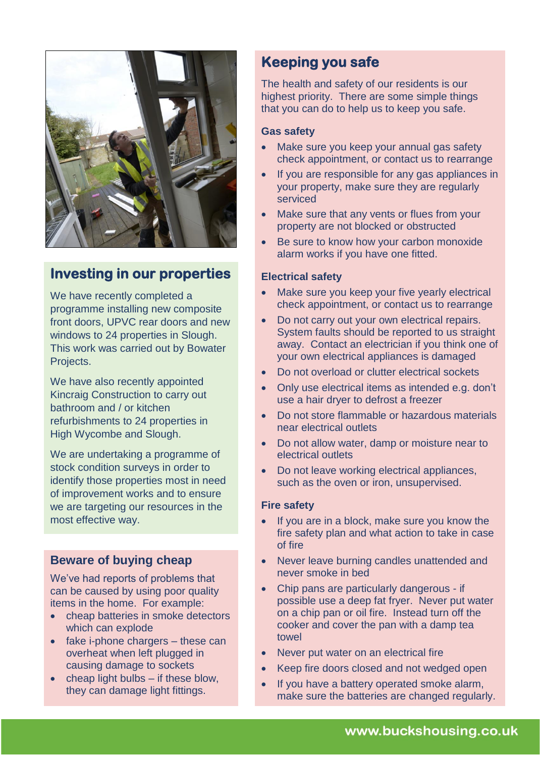

# **Investing in our properties**

We have recently completed a programme installing new composite front doors, UPVC rear doors and new windows to 24 properties in Slough. This work was carried out by Bowater Projects.

We have also recently appointed Kincraig Construction to carry out bathroom and / or kitchen refurbishments to 24 properties in High Wycombe and Slough.

We are undertaking a programme of stock condition surveys in order to identify those properties most in need of improvement works and to ensure we are targeting our resources in the most effective way.

#### **Beware of buying cheap**

We've had reports of problems that can be caused by using poor quality items in the home. For example:

- cheap batteries in smoke detectors which can explode
- fake i-phone chargers these can overheat when left plugged in causing damage to sockets
- cheap light bulbs if these blow, they can damage light fittings.

### **Keeping you safe**

The health and safety of our residents is our highest priority. There are some simple things that you can do to help us to keep you safe.

#### **Gas safety**

- Make sure you keep your annual gas safety check appointment, or contact us to rearrange
- If you are responsible for any gas appliances in your property, make sure they are regularly serviced
- Make sure that any vents or flues from your property are not blocked or obstructed
- Be sure to know how your carbon monoxide alarm works if you have one fitted.

#### **Electrical safety**

- Make sure you keep your five yearly electrical check appointment, or contact us to rearrange
- Do not carry out your own electrical repairs. System faults should be reported to us straight away. Contact an electrician if you think one of your own electrical appliances is damaged
- Do not overload or clutter electrical sockets
- Only use electrical items as intended e.g. don't use a hair dryer to defrost a freezer
- Do not store flammable or hazardous materials near electrical outlets
- Do not allow water, damp or moisture near to electrical outlets
- Do not leave working electrical appliances, such as the oven or iron, unsupervised.

#### **Fire safety**

- If you are in a block, make sure you know the fire safety plan and what action to take in case of fire
- Never leave burning candles unattended and never smoke in bed
- Chip pans are particularly dangerous if possible use a deep fat fryer. Never put water on a chip pan or oil fire. Instead turn off the cooker and cover the pan with a damp tea towel
- Never put water on an electrical fire
- Keep fire doors closed and not wedged open
- If you have a battery operated smoke alarm, make sure the batteries are changed regularly.